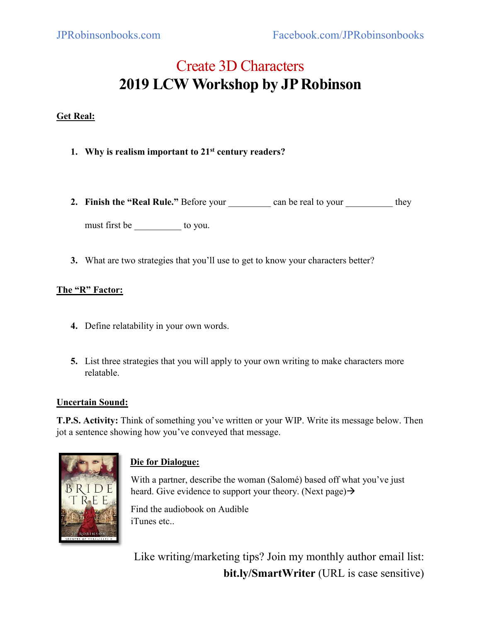# Create 3D Characters **2019 LCW Workshop by JP Robinson**

# **Get Real:**

- **1. Why is realism important to 21st century readers?**
- **2. Finish the "Real Rule."** Before your \_\_\_\_\_\_\_\_\_ can be real to your \_\_\_\_\_\_\_\_\_\_ they

must first be \_\_\_\_\_\_\_\_\_\_ to you.

**3.** What are two strategies that you'll use to get to know your characters better?

### **The "R" Factor:**

- **4.** Define relatability in your own words.
- **5.** List three strategies that you will apply to your own writing to make characters more relatable.

### **Uncertain Sound:**

**T.P.S. Activity:** Think of something you've written or your WIP. Write its message below. Then jot a sentence showing how you've conveyed that message.



# **Die for Dialogue:**

With a partner, describe the woman (Salomé) based off what you've just heard. Give evidence to support your theory. (Next page)  $\rightarrow$ 

Find the audiobook on Audible iTunes etc..

Like writing/marketing tips? Join my monthly author email list: **bit.ly/SmartWriter** (URL is case sensitive)